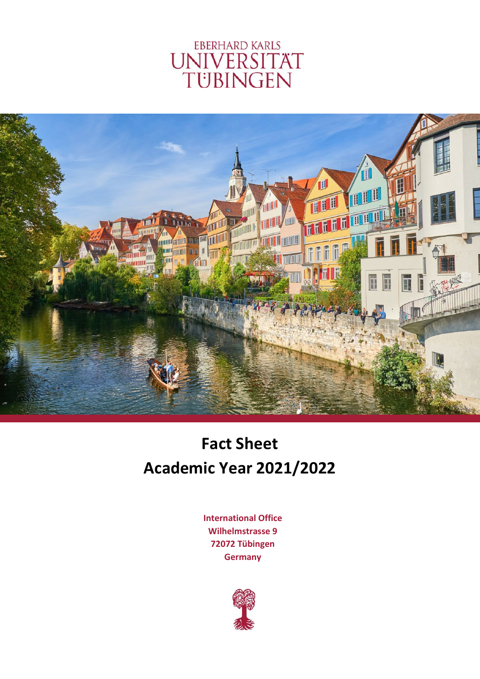# **EBERHARD KARLS** UNIVERSITÄT<br>TÜBINGEN



# **Fact Sheet Academic Year 2021/2022**

**International Office Wilhelmstrasse 9 72072 Tübingen Germany**

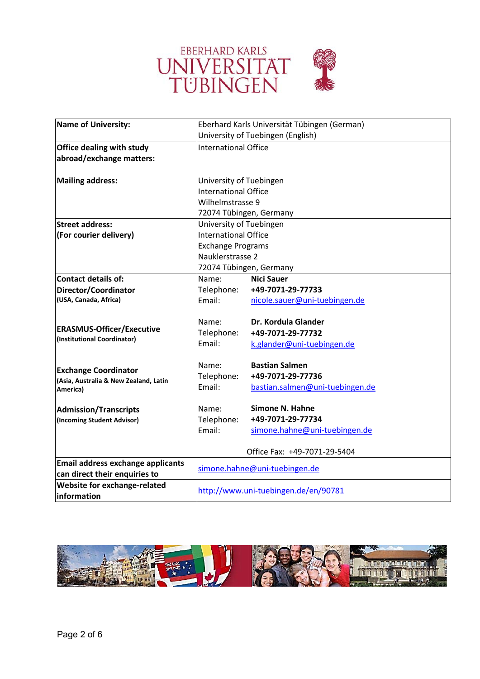

| <b>Name of University:</b>               |                             | Eberhard Karls Universität Tübingen (German) |
|------------------------------------------|-----------------------------|----------------------------------------------|
|                                          |                             | University of Tuebingen (English)            |
| <b>Office dealing with study</b>         | <b>International Office</b> |                                              |
| abroad/exchange matters:                 |                             |                                              |
|                                          |                             |                                              |
| <b>Mailing address:</b>                  | University of Tuebingen     |                                              |
|                                          | International Office        |                                              |
|                                          | Wilhelmstrasse 9            |                                              |
|                                          | 72074 Tübingen, Germany     |                                              |
| <b>Street address:</b>                   | University of Tuebingen     |                                              |
| (For courier delivery)                   | <b>International Office</b> |                                              |
|                                          | <b>Exchange Programs</b>    |                                              |
|                                          | Nauklerstrasse 2            |                                              |
|                                          | 72074 Tübingen, Germany     |                                              |
| Contact details of:                      | Name:                       | <b>Nici Sauer</b>                            |
| Director/Coordinator                     | Telephone:                  | +49-7071-29-77733                            |
| (USA, Canada, Africa)                    | Fmail:                      | nicole.sauer@uni-tuebingen.de                |
|                                          | Name:                       | Dr. Kordula Glander                          |
| <b>ERASMUS-Officer/Executive</b>         | Telephone:                  | +49-7071-29-77732                            |
| (Institutional Coordinator)              | Email:                      | k.glander@uni-tuebingen.de                   |
|                                          |                             |                                              |
| <b>Exchange Coordinator</b>              | Name:                       | <b>Bastian Salmen</b>                        |
| (Asia, Australia & New Zealand, Latin    | Telephone:                  | +49-7071-29-77736                            |
| America)                                 | Email:                      | bastian.salmen@uni-tuebingen.de              |
| <b>Admission/Transcripts</b>             | Name:                       | Simone N. Hahne                              |
| (Incoming Student Advisor)               | Telephone:                  | +49-7071-29-77734                            |
|                                          | Email:                      | simone.hahne@uni-tuebingen.de                |
|                                          |                             |                                              |
|                                          |                             | Office Fax: +49-7071-29-5404                 |
| <b>Email address exchange applicants</b> |                             | simone.hahne@uni-tuebingen.de                |
| can direct their enquiries to            |                             |                                              |
| Website for exchange-related             |                             | http://www.uni-tuebingen.de/en/90781         |
| <b>linformation</b>                      |                             |                                              |

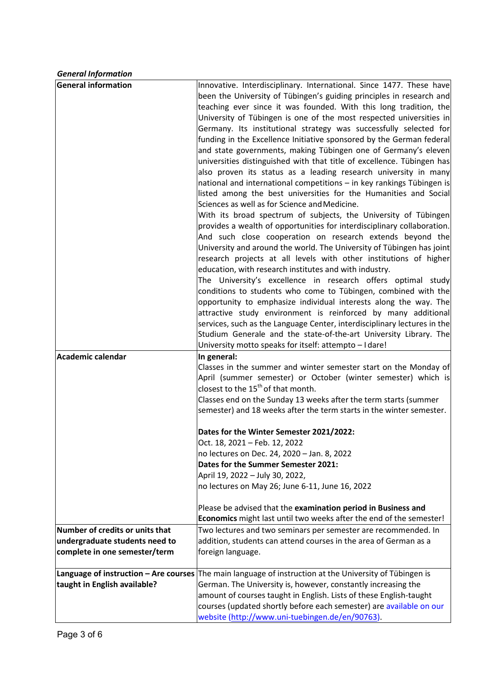*General Information*

| <b>General information</b>            | Innovative. Interdisciplinary. International. Since 1477. These have<br>been the University of Tübingen's guiding principles in research and<br>teaching ever since it was founded. With this long tradition, the<br>University of Tübingen is one of the most respected universities in<br>Germany. Its institutional strategy was successfully selected for                                                                                                                                                                                                                                                                                                                                                                                                                                                                                                                                                                                                                                                                          |
|---------------------------------------|----------------------------------------------------------------------------------------------------------------------------------------------------------------------------------------------------------------------------------------------------------------------------------------------------------------------------------------------------------------------------------------------------------------------------------------------------------------------------------------------------------------------------------------------------------------------------------------------------------------------------------------------------------------------------------------------------------------------------------------------------------------------------------------------------------------------------------------------------------------------------------------------------------------------------------------------------------------------------------------------------------------------------------------|
|                                       | funding in the Excellence Initiative sponsored by the German federal<br>and state governments, making Tübingen one of Germany's eleven<br>universities distinguished with that title of excellence. Tübingen has<br>also proven its status as a leading research university in many<br>national and international competitions - in key rankings Tübingen is<br>listed among the best universities for the Humanities and Social<br>Sciences as well as for Science and Medicine.<br>With its broad spectrum of subjects, the University of Tübingen<br>provides a wealth of opportunities for interdisciplinary collaboration.<br>And such close cooperation on research extends beyond the<br>University and around the world. The University of Tübingen has joint<br>research projects at all levels with other institutions of higher<br>education, with research institutes and with industry.<br>The University's excellence in research offers optimal study<br>conditions to students who come to Tübingen, combined with the |
|                                       | opportunity to emphasize individual interests along the way. The<br>attractive study environment is reinforced by many additional<br>services, such as the Language Center, interdisciplinary lectures in the<br>Studium Generale and the state-of-the-art University Library. The<br>University motto speaks for itself: attempto - I dare!                                                                                                                                                                                                                                                                                                                                                                                                                                                                                                                                                                                                                                                                                           |
| Academic calendar                     | In general:<br>Classes in the summer and winter semester start on the Monday of<br>April (summer semester) or October (winter semester) which is<br>closest to the 15 <sup>th</sup> of that month.<br>Classes end on the Sunday 13 weeks after the term starts (summer<br>semester) and 18 weeks after the term starts in the winter semester.                                                                                                                                                                                                                                                                                                                                                                                                                                                                                                                                                                                                                                                                                         |
|                                       |                                                                                                                                                                                                                                                                                                                                                                                                                                                                                                                                                                                                                                                                                                                                                                                                                                                                                                                                                                                                                                        |
|                                       | Dates for the Winter Semester 2021/2022:<br>Oct. 18, 2021 - Feb. 12, 2022<br>no lectures on Dec. 24, 2020 - Jan. 8, 2022                                                                                                                                                                                                                                                                                                                                                                                                                                                                                                                                                                                                                                                                                                                                                                                                                                                                                                               |
|                                       | Dates for the Summer Semester 2021:<br>April 19, 2022 - July 30, 2022,<br>no lectures on May 26; June 6-11, June 16, 2022                                                                                                                                                                                                                                                                                                                                                                                                                                                                                                                                                                                                                                                                                                                                                                                                                                                                                                              |
|                                       | Please be advised that the examination period in Business and                                                                                                                                                                                                                                                                                                                                                                                                                                                                                                                                                                                                                                                                                                                                                                                                                                                                                                                                                                          |
| Number of credits or units that       | Economics might last until two weeks after the end of the semester!<br>Two lectures and two seminars per semester are recommended. In                                                                                                                                                                                                                                                                                                                                                                                                                                                                                                                                                                                                                                                                                                                                                                                                                                                                                                  |
| undergraduate students need to        | addition, students can attend courses in the area of German as a                                                                                                                                                                                                                                                                                                                                                                                                                                                                                                                                                                                                                                                                                                                                                                                                                                                                                                                                                                       |
| complete in one semester/term         | foreign language.                                                                                                                                                                                                                                                                                                                                                                                                                                                                                                                                                                                                                                                                                                                                                                                                                                                                                                                                                                                                                      |
| Language of instruction - Are courses | The main language of instruction at the University of Tübingen is                                                                                                                                                                                                                                                                                                                                                                                                                                                                                                                                                                                                                                                                                                                                                                                                                                                                                                                                                                      |
| taught in English available?          | German. The University is, however, constantly increasing the                                                                                                                                                                                                                                                                                                                                                                                                                                                                                                                                                                                                                                                                                                                                                                                                                                                                                                                                                                          |
|                                       | amount of courses taught in English. Lists of these English-taught                                                                                                                                                                                                                                                                                                                                                                                                                                                                                                                                                                                                                                                                                                                                                                                                                                                                                                                                                                     |
|                                       | courses (updated shortly before each semester) are available on our<br>website (http://www.uni-tuebingen.de/en/90763).                                                                                                                                                                                                                                                                                                                                                                                                                                                                                                                                                                                                                                                                                                                                                                                                                                                                                                                 |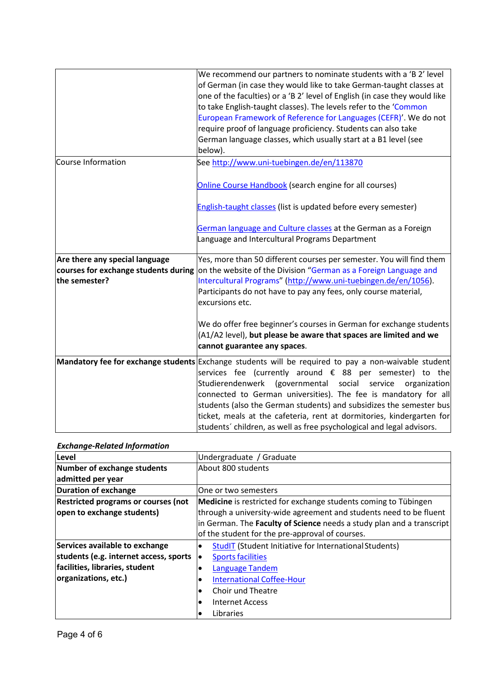|                                                                                         | We recommend our partners to nominate students with a 'B 2' level<br>of German (in case they would like to take German-taught classes at<br>one of the faculties) or a 'B 2' level of English (in case they would like<br>to take English-taught classes). The levels refer to the 'Common<br>European Framework of Reference for Languages (CEFR)'. We do not<br>require proof of language proficiency. Students can also take<br>German language classes, which usually start at a B1 level (see<br>below).                    |
|-----------------------------------------------------------------------------------------|----------------------------------------------------------------------------------------------------------------------------------------------------------------------------------------------------------------------------------------------------------------------------------------------------------------------------------------------------------------------------------------------------------------------------------------------------------------------------------------------------------------------------------|
| Course Information                                                                      | See http://www.uni-tuebingen.de/en/113870<br>Online Course Handbook (search engine for all courses)                                                                                                                                                                                                                                                                                                                                                                                                                              |
|                                                                                         | English-taught classes (list is updated before every semester)                                                                                                                                                                                                                                                                                                                                                                                                                                                                   |
|                                                                                         | German language and Culture classes at the German as a Foreign<br>Language and Intercultural Programs Department                                                                                                                                                                                                                                                                                                                                                                                                                 |
| Are there any special language<br>courses for exchange students during<br>the semester? | Yes, more than 50 different courses per semester. You will find them<br>on the website of the Division "German as a Foreign Language and<br>Intercultural Programs" (http://www.uni-tuebingen.de/en/1056).<br>Participants do not have to pay any fees, only course material,<br>excursions etc.                                                                                                                                                                                                                                 |
|                                                                                         | We do offer free beginner's courses in German for exchange students<br>(A1/A2 level), but please be aware that spaces are limited and we<br>cannot guarantee any spaces.                                                                                                                                                                                                                                                                                                                                                         |
|                                                                                         | Mandatory fee for exchange students Exchange students will be required to pay a non-waivable student<br>services fee (currently around € 88 per semester) to the<br>Studierendenwerk (governmental social<br>service<br>organization<br>connected to German universities). The fee is mandatory for all<br>students (also the German students) and subsidizes the semester bus<br>ticket, meals at the cafeteria, rent at dormitories, kindergarten for<br>students' children, as well as free psychological and legal advisors. |

### *Exchange‐Related Information*

| Level                                      | Undergraduate / Graduate                                              |
|--------------------------------------------|-----------------------------------------------------------------------|
| Number of exchange students                | About 800 students                                                    |
| admitted per year                          |                                                                       |
| Duration of exchange                       | One or two semesters                                                  |
| <b>Restricted programs or courses (not</b> | Medicine is restricted for exchange students coming to Tübingen       |
| open to exchange students)                 | through a university-wide agreement and students need to be fluent    |
|                                            | in German. The Faculty of Science needs a study plan and a transcript |
|                                            | of the student for the pre-approval of courses.                       |
| Services available to exchange             | <b>StudIT (Student Initiative for International Students)</b>         |
| students (e.g. internet access, sports     | <b>Sports facilities</b>                                              |
| facilities, libraries, student             | Language Tandem                                                       |
| organizations, etc.)                       | <b>International Coffee-Hour</b>                                      |
|                                            | Choir und Theatre                                                     |
|                                            | <b>Internet Access</b>                                                |
|                                            | Libraries                                                             |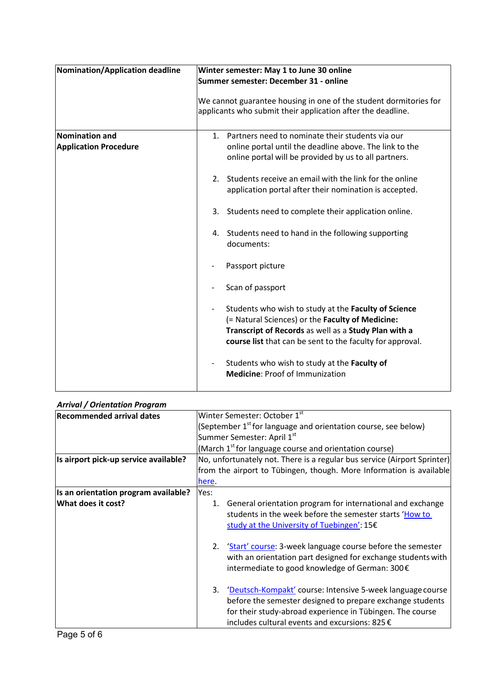| Nomination/Application deadline                | Winter semester: May 1 to June 30 online<br>Summer semester: December 31 - online                                                                                                                                             |
|------------------------------------------------|-------------------------------------------------------------------------------------------------------------------------------------------------------------------------------------------------------------------------------|
|                                                | We cannot guarantee housing in one of the student dormitories for<br>applicants who submit their application after the deadline.                                                                                              |
| Nomination and<br><b>Application Procedure</b> | Partners need to nominate their students via our<br>1.<br>online portal until the deadline above. The link to the<br>online portal will be provided by us to all partners.                                                    |
|                                                | Students receive an email with the link for the online<br>$2_{-}$<br>application portal after their nomination is accepted.                                                                                                   |
|                                                | Students need to complete their application online.<br>3.                                                                                                                                                                     |
|                                                | 4. Students need to hand in the following supporting<br>documents:                                                                                                                                                            |
|                                                | Passport picture                                                                                                                                                                                                              |
|                                                | Scan of passport                                                                                                                                                                                                              |
|                                                | Students who wish to study at the Faculty of Science<br>(= Natural Sciences) or the Faculty of Medicine:<br>Transcript of Records as well as a Study Plan with a<br>course list that can be sent to the faculty for approval. |
|                                                | Students who wish to study at the Faculty of<br><b>Medicine: Proof of Immunization</b>                                                                                                                                        |

## *Arrival / Orientation Program*

| <b>Recommended arrival dates</b>      | Winter Semester: October 1st                                                                                                                                                                                                                          |
|---------------------------------------|-------------------------------------------------------------------------------------------------------------------------------------------------------------------------------------------------------------------------------------------------------|
|                                       | (September 1 <sup>st</sup> for language and orientation course, see below)                                                                                                                                                                            |
|                                       | Summer Semester: April 1st                                                                                                                                                                                                                            |
|                                       | (March 1 <sup>st</sup> for language course and orientation course)                                                                                                                                                                                    |
| Is airport pick-up service available? | No, unfortunately not. There is a regular bus service (Airport Sprinter)                                                                                                                                                                              |
|                                       | from the airport to Tübingen, though. More Information is available                                                                                                                                                                                   |
|                                       | here.                                                                                                                                                                                                                                                 |
| Is an orientation program available?  | Yes:                                                                                                                                                                                                                                                  |
| What does it cost?                    | General orientation program for international and exchange<br>1.<br>students in the week before the semester starts 'How to<br>study at the University of Tuebingen': 15€                                                                             |
|                                       | 'Start' course: 3-week language course before the semester<br>2.<br>with an orientation part designed for exchange students with<br>intermediate to good knowledge of German: 300€                                                                    |
|                                       | 'Deutsch-Kompakt' course: Intensive 5-week language course<br>3.<br>before the semester designed to prepare exchange students<br>for their study-abroad experience in Tübingen. The course<br>includes cultural events and excursions: 825 $\epsilon$ |